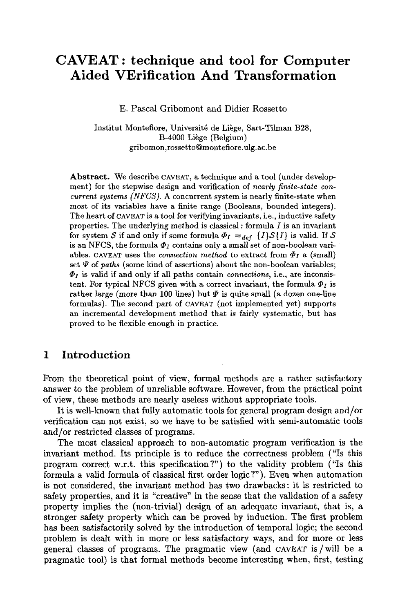# **CAVEAT: technique and tool for Computer Aided VErification And Transformation**

E. Pascal Gribomont and Didier Rossetto

Institut Montefiore, Université de Liège, Sart-Tilman B28, B-4000 Liege (Belgium) gribomon,rossetto@montefiore.ulg.ac.be

**Abstract.** We describe CAVEAT, a technique and a tool (under development) for the stepwise design and verification of *nearly finite-state concurrent systems (NFCS).* A concurrent system is nearly finite-state when most of its variables have a finite range (Booleans, bounded integers). The heart of CAVEAT is a tool for verifying invariants, i.e., inductive safety properties. The underlying method is classical : formula  $I$  is an invariant for system S if and only if some formula  $\Phi_I =_{def} \{I\} S\{I\}$  is valid. If S is an NFCS, the formula  $\Phi_I$  contains only a small set of non-boolean variables. CAVEAT uses the *connection method* to extract from  $\Phi_I$  a (small) set  $\Psi$  of *paths* (some kind of assertions) about the non-boolean variables;  $\Phi_I$  is valid if and only if all paths contain *connections*, i.e., are inconsistent. For typical NFCS given with a correct invariant, the formula  $\Phi_I$  is rather large (more than 100 lines) but  $\Psi$  is quite small (a dozen one-line formulas). The second part of CAVEAT (not implemented yet) supports an incremental development method that is fairly systematic, but has proved to be flexible enough in practice.

# **1 Introduction**

From the theoretical point of view, formal methods are a rather satisfactory answer to the problem of unreliable software. However, from the practical point of view, these methods are nearly useless without appropriate tools.

It is well-known that fully automatic tools for general program design and/or verification can not exist, so we have to be satisfied with semi-automatic tools and/or restricted classes of programs.

The most classical approach to non-automatic program verification is the invariant method. Its principle is to reduce the correctness problem ("Is this program correct w.r.t, this specification?") to the validity problem ("Is this formula a valid formula of classical first order logic ?"). Even when automation is not considered, the invariant method has two drawbacks: it is restricted to safety properties, and it is "creative" in the sense that the validation of a safety property implies the (non-trivial) design of an adequate invariant, that is, a stronger safety property which can be proved by induction. The first problem has been satisfactorily solved by the introduction of temporal logic; the second problem is dealt with in more or less satisfactory ways, and for more or less general classes of programs. The pragmatic view (and CAVEAT is/will be a pragmatic tool) is that formal methods become interesting when, first, testing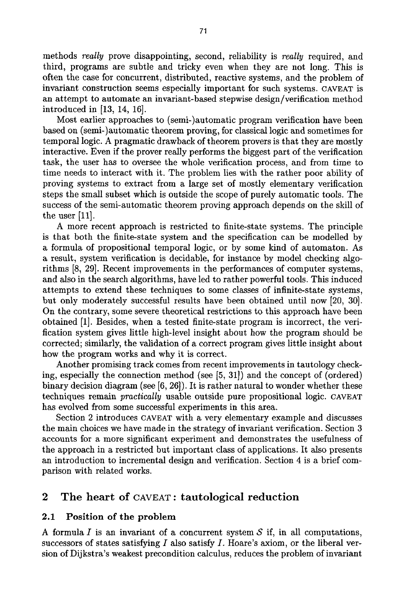methods *really* prove disappointing, second, reliability is *really* required, and third, programs are subtle and tricky even when they are not long. This is often the case for concurrent, distributed, reactive systems, and the problem of invariant construction seems especially important for such systems. CAVEAT is an attempt to automate an invariant-based stepwise design/verification method introduced in [13, 14, 16].

Most earlier approaches to (semi-)automatic program verification have been based on (semi-)automatic theorem proving, for classical logic and sometimes for temporal logic. A pragmatic drawback of theorem provers is that they are mostly interactive. Even if the prover really performs the biggest part of the verification task, the user has to oversee the whole verification process, and from time to time needs to interact with it. The problem lies with the rather poor ability of proving systems to extract from a large set of mostly elementary verification steps the small subset which is outside the scope of purely automatic tools. The success of the semi-automatic theorem proving approach depends on the skill of the user [11].

A more recent approach is restricted to finite-state systems. The principle is that both the finite-state system and the specification can be modelled by a formula of propositional temporal logic, or by some kind of automaton. As a result, system verification is decidable, for instance by model checking algorithms [8, 29]. Recent improvements in the performances of computer systems, and also in the search algorithms, have led to rather powerful tools. This induced attempts to extend these techniques to some classes of infinite-state systems, but only moderately successful results have been obtained until now [20, 30]. On the contrary, some severe theoretical restrictions to this approach have been obtained [1]. Besides, when a tested finite-state program is incorrect, the verification system gives little high-level insight about how the program should be corrected; similarly, the validation of a correct program gives little insight about how the program works and why it is correct.

Another promising track comes from recent improvements in tautology checking, especially the connection method (see [5, 31]) and the concept of (ordered) binary decision diagram (see [6, 26]). It is rather natural to wonder whether these techniques remain *practically* usable outside pure propositional logic. CAVEAT has evolved from some successful experiments in this area.

Section 2 introduces CAVEAT with a very elementary example and discusses the main choices we have made in the strategy of invariant verification. Section 3 accounts for a more significant experiment and demonstrates the usefulness of the approach in a restricted but important class of applications. It also presents an introduction to incremental design and verification. Section 4 is a brief comparison with related works.

# 2 The heart of CAVEAT: tautological reduction

#### 2.1 Position of the problem

A formula  $I$  is an invariant of a concurrent system  $S$  if, in all computations, successors of states satisfying  $I$  also satisfy  $I$ . Hoare's axiom, or the liberal version of Dijkstra's weakest precondition calculus, reduces the problem of invariant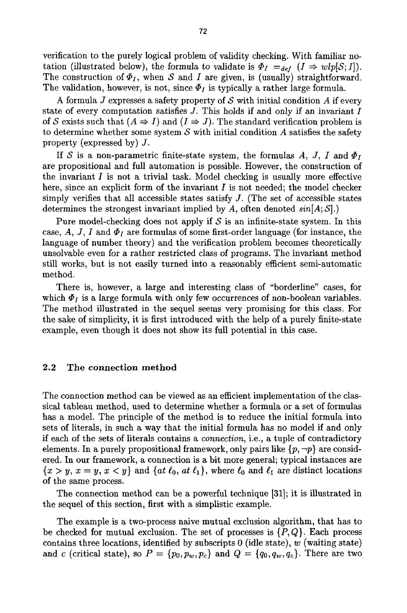verification to the purely logical problem of validity checking. With familiar notation (illustrated below), the formula to validate is  $\Phi_I =_{def} (I \Rightarrow wlp[S; I]).$ The construction of  $\Phi_I$ , when S and I are given, is (usually) straightforward. The validation, however, is not, since  $\Phi_I$  is typically a rather large formula.

A formula  $J$  expresses a safety property of  $S$  with initial condition  $A$  if every state of every computation satisfies  $J$ . This holds if and only if an invariant  $I$ of S exists such that  $(A \Rightarrow I)$  and  $(I \Rightarrow J)$ . The standard verification problem is to determine whether some system  $\mathcal S$  with initial condition  $\mathcal A$  satisfies the safety property (expressed by) J.

If S is a non-parametric finite-state system, the formulas A, J, I and  $\Phi_I$ are propositional and full automation is possible. However, the construction of the invariant  $I$  is not a trivial task. Model checking is usually more effective here, since an explicit form of the invariant  $I$  is not needed; the model checker simply verifies that all accessible states satisfy  $J$ . (The set of accessible states determines the strongest invariant implied by A, often denoted *sin[A;* S].)

Pure model-checking does not apply if  $S$  is an infinite-state system. In this case,  $A$ ,  $J$ ,  $I$  and  $\Phi_I$  are formulas of some first-order language (for instance, the language of number theory) and the verification problem becomes theoretically unsolvable even for a rather restricted class of programs. The invariant method still works, but is not easily turned into a reasonably efficient semi-automatic method.

There is, however, a large and interesting class of "borderline" cases, for which  $\Phi_I$  is a large formula with only few occurrences of non-boolean variables. The method illustrated in the sequel seems very promising for this class. For the sake of simplicity, it is first introduced with the help of a purely finite-state example, even though it does not show its full potential in this case.

#### 2.2 The connection method

The connection method can be viewed as an efficient implementation of the classical tableau method, used to determine whether a formula or a set of formulas has a model. The principle of the method is to reduce the initial formula into sets of literals, in such a way that the initial formula has no model if and only if each of the sets of literals contains a *connection,* i.e., a tuple of contradictory elements. In a purely propositional framework, only pairs like  $\{p, \neg p\}$  are considered. In our framework, a connection is a bit more general; typical instances are  ${x \gt y, x = y, x \lt y}$  and  ${at \ell_0, at \ell_1}$ , where  $\ell_0$  and  $\ell_1$  are distinct locations of the same process.

The connection method can be a powerful technique [31]; it is illustrated in the sequel of this section, first with a simplistic example.

The example is a two-process naive mutual exclusion algorithm, that has to be checked for mutual exclusion. The set of processes is  $\{P,Q\}$ . Each process contains three locations, identified by subscripts  $0$  (idle state), w (waiting state) and c (critical state), so  $P = \{p_0, p_w, p_c\}$  and  $Q = \{q_0, q_w, q_c\}$ . There are two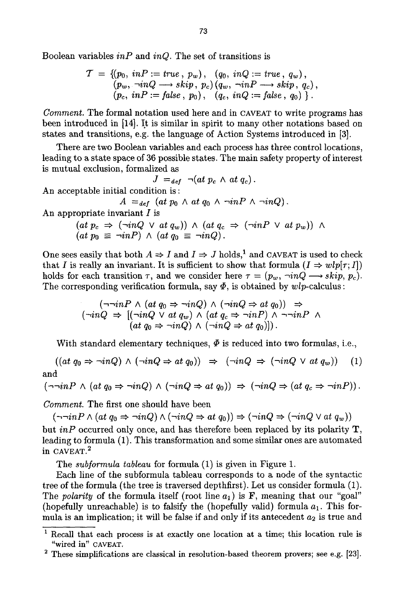Boolean variables *inP* and *inQ.* The set of transitions is

$$
\mathcal{T} = \{ (p_0, inP := true, p_w), (q_0, inQ := true, q_w), (p_w, \neg inQ \longrightarrow skip, p_c) (q_w, \neg inP \longrightarrow skip, q_c), (p_c, inP := false, p_0), (q_c, inQ := false, q_0) \}.
$$

*Comment.* The formal notation used here and in CAVEAT to write programs has been introduced in [14]. It is similar in spirit to many other notations based on states and transitions, e.g. the language of Action Systems introduced in [3].

There are two Boolean variables and each process has three control locations, leading to a state space of 36 possible states. The main safety property of interest is mutual exclusion, formalized as

$$
J =_{def} \neg (at \ p_c \wedge at \ q_c).
$$

An acceptable initial condition is :

 $A =_{def} (at p_0 \wedge at q_0 \wedge \neg inP \wedge \neg inQ).$ 

An appropriate invariant  $I$  is

$$
(at\ p_c \Rightarrow (\neg inQ \lor at\ q_w)) \land (at\ q_c \Rightarrow (\neg inP \lor at\ p_w)) \land (at\ p_0 \equiv \neg inP) \land (at\ q_0 \equiv \neg inQ).
$$

One sees easily that both  $A \Rightarrow I$  and  $I \Rightarrow J$  holds,<sup>1</sup> and CAVEAT is used to check that I is really an invariant. It is sufficient to show that formula  $(I \Rightarrow wlp[\tau; I])$ holds for each transition  $\tau$ , and we consider here  $\tau = (p_w, \neg inQ \longrightarrow skip, p_c)$ . The corresponding verification formula, say  $\Phi$ , is obtained by  $wlp$ -calculus :

$$
(\neg \neg inP \land (at q_0 \Rightarrow \neg inQ) \land (\neg inQ \Rightarrow at q_0)) \Rightarrow (\neg inQ \Rightarrow [(\neg inQ \lor at q_w) \land (at q_c \Rightarrow \neg inP) \land \neg \neg inP \land (at q_0 \Rightarrow \neg inQ) \land (\neg inQ \Rightarrow at q_0)]).
$$

With standard elementary techniques,  $\Phi$  is reduced into two formulas, i.e.,

 $((at\ q_0 \Rightarrow \neg inQ) \land (\neg inQ \Rightarrow at\ q_0)) \Rightarrow (\neg inQ \Rightarrow (\neg inQ \lor at\ q_w))$  (1) and

$$
(\neg \neg inP \land (at q_0 \Rightarrow \neg inQ) \land (\neg inQ \Rightarrow at q_0)) \Rightarrow (\neg inQ \Rightarrow (at q_c \Rightarrow \neg inP)).
$$

*Comment.* The first one should have been

 $(\neg\neg inP \land (at\ q_0 \Rightarrow \neg inQ) \land (\neg inQ \Rightarrow at\ q_0)) \Rightarrow (\neg inQ \Rightarrow (\neg inQ \lor at\ q_w))$ 

but *inP* occurred only once, and has therefore been replaced by its polarity T, leading to formula (1). This transformation and some similar ones are automated in CAVEAT.<sup>2</sup>

The *subformula tableau* for formula (1) is given in Figure 1.

Each line of the subformula tableau corresponds to a node of the syntactic tree of the formula (the tree is traversed depthfirst). Let us consider formula (1). The *polarity* of the formula itself (root line  $a_1$ ) is **F**, meaning that our "goal" (hopefully unreachable) is to falsify the (hopefully valid) formula  $a_1$ . This formula is an implication; it will be false if and only if its antecedent  $a_2$  is true and

<sup>1</sup> Recall that each process is at exactly one location at a time; this location rule is "wired in" CAVEAT.

<sup>2</sup> These simplifications are classical in resolution-based theorem provers; see e.g. [23].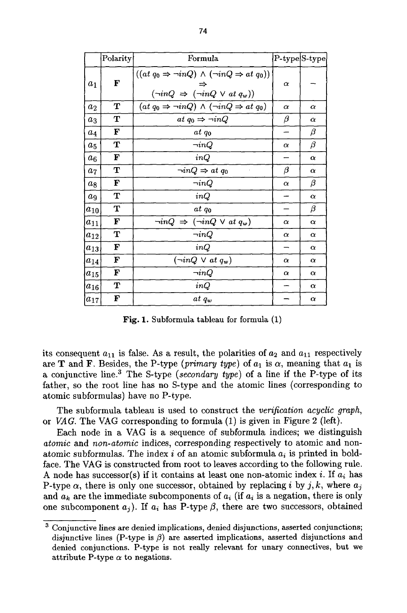|                    | Polarity | Formula                                                                                                                  | P-type S-type |          |
|--------------------|----------|--------------------------------------------------------------------------------------------------------------------------|---------------|----------|
| a <sub>1</sub>     | F        | $((at q_0 \Rightarrow \neg inQ) \land (\neg inQ \Rightarrow at q_0))$<br>$(\neg inQ \Rightarrow (\neg inQ \lor at q_w))$ | $\alpha$      |          |
| $a_2$              | т        | $(at q_0 \Rightarrow \neg inQ) \wedge (\neg inQ \Rightarrow at q_0)$                                                     | $\alpha$      | $\alpha$ |
| $a_3$              | т        | at $q_0 \Rightarrow \neg inQ$                                                                                            | β             | $\alpha$ |
| $a_4$              | F        | at qo                                                                                                                    |               | β        |
| $a_5$              | т        | $\neg inQ$                                                                                                               | $\alpha$      | β        |
| $a_6$              | F        | inQ                                                                                                                      |               | $\alpha$ |
| a <sub>7</sub>     | т        | $\neg inQ \Rightarrow at q_0$                                                                                            | β             | $\alpha$ |
| $a_8$              | F        | $\neg inQ$                                                                                                               | $\alpha$      | β        |
| $\boldsymbol{a_9}$ | т        | inQ                                                                                                                      |               | $\alpha$ |
| $a_{10}$           | т        | at qo                                                                                                                    |               | β        |
| $a_{11}$           | F        | $\neg inQ \Rightarrow (\neg inQ \lor at q_w)$                                                                            | $\alpha$      | $\alpha$ |
| $a_{12}$           | т        | $\neg inQ$                                                                                                               | $\alpha$      | $\alpha$ |
| $a_{13}$           | F        | inQ                                                                                                                      |               | $\alpha$ |
| $a_{14}$           | F        | $(\neg inQ \lor at q_w)$                                                                                                 | $\alpha$      | $\alpha$ |
| $a_{15}$           | F        | $\neg inQ$                                                                                                               | $\alpha$      | $\alpha$ |
| $a_{16}$           | т        | inQ                                                                                                                      |               | $\alpha$ |
| $a_{17}$           | F        | $at\ q_w$                                                                                                                |               | α        |

Fig. 1. Subformula tableau for formula (1)

its consequent  $a_{11}$  is false. As a result, the polarities of  $a_2$  and  $a_{11}$  respectively are **T** and **F**. Besides, the P-type *(primary type)* of  $a_1$  is  $\alpha$ , meaning that  $a_1$  is a conjunctive line. 3 The S-type *(secondary type)* of a line if the P-type of its father, so the root line has no S-type and the atomic lines (corresponding to atomic subformulas) have no P-type.

The subformula tableau is used to construct the *verification acyclic graph,*  or *VAG.* The VAG corresponding to formula (1) is given in Figure 2 (left).

Each node in a VAG is a sequence of subformula indices; we distinguish *atomic* and *non-atomic* indices, corresponding respectively to atomic and nonatomic subformulas. The index i of an atomic subformula  $a_i$  is printed in boldface. The VAG is constructed from root to leaves according to the following rule. A node has successor(s) if it contains at least one non-atomic index i. If  $a_i$  has P-type  $\alpha$ , there is only one successor, obtained by replacing i by j, k, where  $a_j$ and  $a_k$  are the immediate subcomponents of  $a_i$  (if  $a_i$  is a negation, there is only one subcomponent  $a_j$ ). If  $a_i$  has P-type  $\beta$ , there are two successors, obtained

<sup>3</sup> Conjunctive lines are denied implications, denied disjunctions, asserted conjunctions; disjunctive lines (P-type is  $\beta$ ) are asserted implications, asserted disjunctions and denied conjunctions. P-type is not really relevant for unary connectives, but we attribute P-type  $\alpha$  to negations.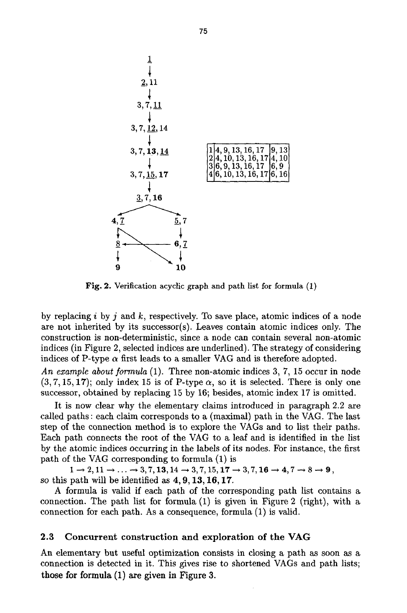

Fig. 2. Verification acyclic graph and path list for formula (1)

by replacing i by j and k, respectively. To save place, atomic indices of a node are not inherited by its successor(s). Leaves contain atomic indices only. The construction is non-deterministic, since a node can contain several non-atomic indices (in Figure 2, selected indices are underlined). The strategy of considering indices of P-type  $\alpha$  first leads to a smaller VAG and is therefore adopted.

*An example about formula* (1). Three non-atomic indices 3, 7, 15 occur in node  $(3, 7, 15, 17)$ ; only index 15 is of P-type  $\alpha$ , so it is selected. There is only one successor, obtained by replacing 15 by 16; besides, atomic index 17 is omitted.

It is now clear why the elementary claims introduced in paragraph 2.2 are called paths : each claim corresponds to a (maximal) path in the VAG. The last step of the connection method is to explore the VAGs and to list their paths. Each path connects the root of the VAG to a leaf and is identified in the list by the atomic indices occurring in the labels of its nodes. For instance, the first path of the VAG corresponding to formula (1) is

 $1 \rightarrow 2, 11 \rightarrow \ldots \rightarrow 3, 7, 13, 14 \rightarrow 3, 7, 15, 17 \rightarrow 3, 7, 16 \rightarrow 4, 7 \rightarrow 8 \rightarrow 9,$ so this path will be identified as 4, 9, 13, 16, 17.

A formula is valid if each path of the corresponding path list contains a connection. The path list for formula (1) is given in Figure 2 (right), with a connection for each path. As a consequence, formula (1) is valid.

### 2.3 Concurrent construction and exploration of the **VAG**

An elementary but useful optimization consists in closing a path as soon as a connection is detected in it. This gives rise to shortened VAGs and path lists; **those** for formula (1) are given in Figure 3.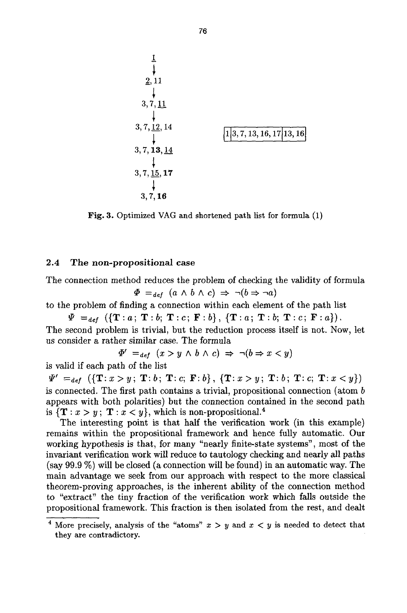

Fig. 3. Optimized VAG and shortened path list for formula (1)

#### **2.4 The non-propositional case**

The connection method reduces the problem of checking the validity of formula  $\Phi =_{def} (a \wedge b \wedge c) \Rightarrow \neg(b \Rightarrow \neg a)$ 

to the problem of finding a connection within each element of the path list

 $\Psi =_{def} (\{\mathbf{T}:a; \mathbf{T}:b; \mathbf{T}:c; \mathbf{F}:b\}, \{\mathbf{T}:a; \mathbf{T}:b; \mathbf{T}:c; \mathbf{F}:a\}).$ 

The second problem is trivial, but the reduction process itself is not. Now, let us consider a rather similar case. The formula

 $\Phi' =_{def} (x > y \land b \land c) \Rightarrow \neg(b \Rightarrow x < y)$ 

is valid if each path of the list

 $\Psi' =_{def} (\{\mathbf{T}: x > y; \ \mathbf{T}: b; \ \mathbf{T}: c; \ \mathbf{F}: b\}, \ \{\mathbf{T}: x > y; \ \mathbf{T}: b; \ \mathbf{T}: c; \ \mathbf{T}: x < y\})$ is connected. The first path contains a trivial, propositional connection (atom b appears with both polarities) but the connection contained in the second path is  $\{T : x > y; T : x < y\}$ , which is non-propositional.<sup>4</sup>

The interesting point is that half the verification work (in this example) remains within the propositional framework and hence fully automatic. Our working hypothesis is that, for many "nearly finite-state systems", most of the invariant verification work will reduce to tautology checking and nearly all paths (say 99.9 %) will be closed (a connection will be found) in an automatic way. The main advantage we seek from our approach with respect to the more classical theorem-proving approaches, is the inherent ability of the connection method to "extract" the tiny fraction of the verification work which falls outside the propositional framework. This fraction is then isolated from the rest, and dealt

<sup>&</sup>lt;sup>4</sup> More precisely, analysis of the "atoms"  $x > y$  and  $x < y$  is needed to detect that they are contradictory.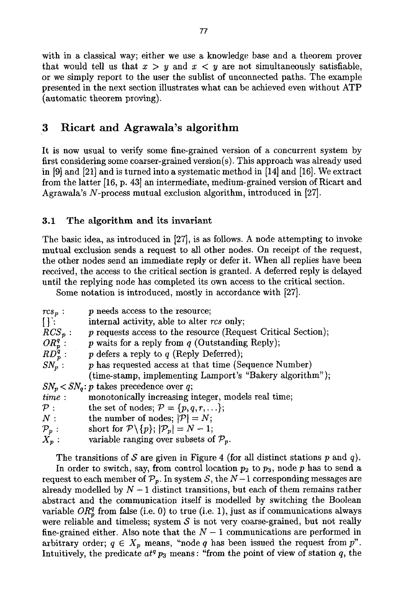with in a classical way; either we use a knowledge base and a theorem prover that would tell us that  $x > y$  and  $x < y$  are not simultaneously satisfiable, or we simply report to the user the sublist of unconnected paths. The example presented in the next section illustrates what can be achieved even without ATP (automatic theorem proving).

# 3 Ricart and Agrawala's algorithm

It is now usual to verify some fine-grained version of a concurrent system by first considering some coarser-grained version(s). This approach was already used in [9] and [21] and is turned into a systematic method in [14] and [16]. We extract from the latter [16, p. 43] an intermediate, medium-grained version of Ricart and Agrawala's N-process mutual exclusion algorithm, introduced in [27].

# 3.1 The algorithm and its invariant

The basic idea, as introduced in [27], is as follows. A node attempting to invoke mutual exclusion sends a request to all other nodes. On receipt of the request, the other nodes send an immediate reply or defer it. When all replies have been received, the access to the critical section is granted. A deferred reply is delayed until the replying node has completed its own access to the critical section.

Some notation is introduced, mostly in accordance with [27].

| $rcs_p$ :                                  | $p$ needs access to the resource;                               |  |  |
|--------------------------------------------|-----------------------------------------------------------------|--|--|
| $\prod_{i=1}^{n}$                          | internal activity, able to alter rcs only;                      |  |  |
| $RCS_p$ :                                  | $p$ requests access to the resource (Request Critical Section); |  |  |
| $OR_p^q$ :                                 | $p$ waits for a reply from $q$ (Outstanding Reply);             |  |  |
| $RD_p^q$ :                                 | $p$ defers a reply to $q$ (Reply Deferred);                     |  |  |
| $SN_p$ :                                   | p has requested access at that time (Sequence Number)           |  |  |
|                                            | (time-stamp, implementing Lamport's "Bakery algorithm");        |  |  |
| $SN_p < SN_q$ : p takes precedence over q; |                                                                 |  |  |
| time:                                      | monotonically increasing integer, models real time;             |  |  |
| $\mathcal{P}:$                             | the set of nodes; $P = \{p, q, r, \ldots\};$                    |  |  |
| N:                                         | the number of nodes; $ \mathcal{P}  = N$ ;                      |  |  |
| $\mathcal{P}_{\bm p}$ :                    | short for $\mathcal{P}\backslash\{p\};  \mathcal{P}_p =N-1;$    |  |  |
| $X_{p}:$                                   | variable ranging over subsets of $\mathcal{P}_p$ .              |  |  |

The transitions of S are given in Figure 4 (for all distinct stations p and q).

In order to switch, say, from control location  $p_2$  to  $p_3$ , node p has to send a request to each member of  $\mathcal{P}_p$ . In system S, the N-1 corresponding messages are already modelled by  $N-1$  distinct transitions, but each of them remains rather abstract and the communication itself is modelled by switching the Boolean variable  $OR_p^q$  from false (i.e. 0) to true (i.e. 1), just as if communications always were reliable and timeless; system  $S$  is not very coarse-grained, but not really fine-grained either. Also note that the  $N-1$  communications are performed in arbitrary order;  $q \in X_p$  means, "node q has been issued the request from  $p$ ". Intuitively, the predicate  $at^q p_3$  means: "from the point of view of station  $q$ , the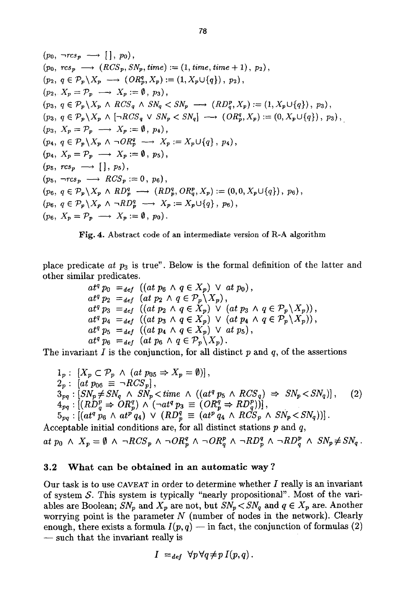$$
(p_0, \neg rcs_p \longrightarrow [], p_0),
$$
  
\n
$$
(p_0, \operatorname{rcs}_p \longrightarrow (RCS_p, SN_p, \text{time}) := (1, \text{time}, \text{time} + 1), p_2),
$$
  
\n
$$
(p_2, q \in \mathcal{P}_p \setminus X_p \longrightarrow (OR_p^q, X_p) := (1, X_p \cup \{q\}), p_2),
$$
  
\n
$$
(p_2, X_p = \mathcal{P}_p \longrightarrow X_p := \emptyset, p_3),
$$
  
\n
$$
(p_3, q \in \mathcal{P}_p \setminus X_p \land RCS_q \land SN_q < SN_p \longrightarrow (RD_q^p, X_p) := (1, X_p \cup \{q\}), p_3),
$$
  
\n
$$
(p_3, q \in \mathcal{P}_p \setminus X_p \land [\neg RCS_q \lor SN_p < SN_q] \longrightarrow (OR_p^q, X_p) := (0, X_p \cup \{q\}), p_3),
$$
  
\n
$$
(p_3, X_p = \mathcal{P}_p \longrightarrow X_p := \emptyset, p_4),
$$
  
\n
$$
(p_4, q \in \mathcal{P}_p \setminus X_p \land \neg OR_p^q \longrightarrow X_p := X_p \cup \{q\}, p_4),
$$
  
\n
$$
(p_4, X_p = \mathcal{P}_p \longrightarrow X_p := \emptyset, p_5),
$$
  
\n
$$
(p_5, \operatorname{rcs}_p \longrightarrow \{CS_p := 0, p_6),
$$
  
\n
$$
(p_6, q \in \mathcal{P}_p \setminus X_p \land RD_p^q \longrightarrow (RD_p^q, OR_q^p, X_p) := (0, 0, X_p \cup \{q\}), p_6),
$$
  
\n
$$
(p_6, q \in \mathcal{P}_p \setminus X_p \land \neg RD_p^q \longrightarrow X_p := X_p \cup \{q\}, p_6),
$$
  
\n
$$
(p_6, X_p = \mathcal{P}_p \longrightarrow X_p := \emptyset, p_0).
$$



place predicate *at P3* is true". Below is the formal definition of the latter and other similar predicates.

$$
at^q p_0 =_{def} ((at p_6 \wedge q \in X_p) \vee at p_0),
$$
  
\n
$$
at^q p_2 =_{def} (at p_2 \wedge q \in \mathcal{P}_p \setminus X_p),
$$
  
\n
$$
at^q p_3 =_{def} ((at p_2 \wedge q \in X_p) \vee (at p_3 \wedge q \in \mathcal{P}_p \setminus X_p)),
$$
  
\n
$$
at^q p_4 =_{def} ((at p_3 \wedge q \in X_p) \vee (at p_4 \wedge q \in \mathcal{P}_p \setminus X_p)),
$$
  
\n
$$
at^q p_5 =_{def} ((at p_4 \wedge q \in X_p) \vee at p_5),
$$
  
\n
$$
at^q p_6 =_{def} (at p_6 \wedge q \in \mathcal{P}_p \setminus X_p).
$$

The invariant  $I$  is the conjunction, for all distinct  $p$  and  $q$ , of the assertions

$$
1_p: [X_p \subset \mathcal{P}_p \land (at\ p_{05} \Rightarrow X_p = \emptyset)],
$$
  
\n
$$
2_p: [at\ p_{06} \equiv \neg RCS_p],
$$
  
\n
$$
3_{pq}: [SN_p \neq SN_q \land SN_p < time \land ((at^q p_5 \land RCS_q) \Rightarrow SN_p < SN_q)],
$$
  
\n
$$
4_{pq}: [(RD_q^p \Rightarrow OR_p^q) \land (\neg at^q p_3 \equiv (OR_p^q \Rightarrow RD_q^p))],
$$
  
\n
$$
5_{pq}: [(at^q p_6 \land at^p q_4) \lor (RD_p^q \equiv (at^p q_4 \land RCS_p \land SN_p < SN_q))].
$$
\n(2)

Acceptable initial conditions are, for all distinct stations  $p$  and  $q$ ,

$$
at\ p_0 \ \wedge\ X_p = \emptyset \ \wedge\ \neg RCS_p \ \wedge\ \neg OR_p^q \ \wedge\ \neg OR_q^p \ \wedge\ \neg RD_p^q \ \wedge\ \neg RD_q^p \ \wedge\ SN_p \neq SN_q.
$$

### **3.2 What can be obtained in an automatic way ?**

Our task is to use CAVEAT in order to determine whether  $I$  really is an invariant of system  $S$ . This system is typically "nearly propositional". Most of the variables are Boolean;  $SN_p$  and  $X_p$  are not, but  $SN_p < SN_q$  and  $q \in X_p$  are. Another worrying point is the parameter  $N$  (number of nodes in the network). Clearly enough, there exists a formula  $I(p,q)$  -- in fact, the conjunction of formulas (2) - such that the invariant really is

$$
I =_{def} \forall p \forall q \neq p I(p,q).
$$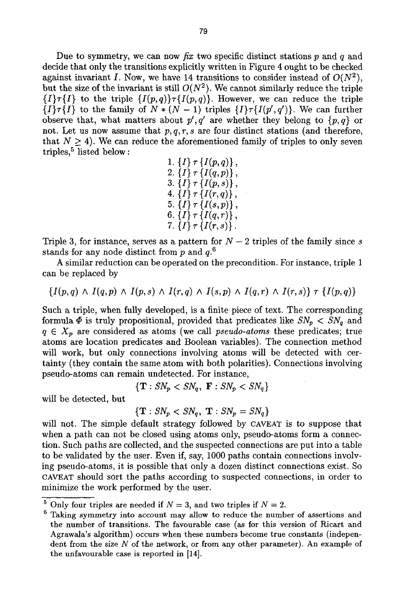Due to symmetry, we can now fix two specific distinct stations p and q and decide that only the transitions explicitly written in Figure 4 ought to be checked against invariant I. Now, we have 14 transitions to consider instead of  $O(N^2)$ , but the size of the invariant is still  $O(N^2)$ . We cannot similarly reduce the triple  ${I\}\tau{I}$  to the triple  ${I(p,q)}\tau{I(p,q)}$ . However, we can reduce the triple  $\{I\}\tau\{I\}$  to the family of  $N*(N-1)$  triples  $\{I\}\tau\{I(p',q')\}$ . We can further observe that, what matters about  $p', q'$  are whether they belong to  $\{p, q\}$  or not. Let us now assume that  $p, q, r, s$  are four distinct stations (and therefore, that  $N \geq 4$ ). We can reduce the aforementioned family of triples to only seven triples,<sup>5</sup> listed below:

1. 
$$
\{I\} \tau \{I(p,q)\},
$$
  
\n2. 
$$
\{I\} \tau \{I(q,p)\},
$$
  
\n3. 
$$
\{I\} \tau \{I(p,s)\},
$$
  
\n4. 
$$
\{I\} \tau \{I(r,q)\},
$$
  
\n5. 
$$
\{I\} \tau \{I(s,p)\},
$$
  
\n6. 
$$
\{I\} \tau \{I(q,r)\},
$$
  
\n7. 
$$
\{I\} \tau \{I(r,s)\}.
$$

Triple 3, for instance, serves as a pattern for  $N-2$  triples of the family since s stands for any node distinct from p and  $q^{6}$ .

A similar reduction can be operated on the precondition. For instance, triple 1 can be replaced by

$$
\{I(p,q)\,\wedge\, I(q,p)\,\wedge\, I(p,s)\,\wedge\, I(r,q)\,\wedge\, I(s,p)\,\wedge\, I(q,r)\,\wedge\, I(r,s)\}\;\tau\,\left\{I(p,q)\right\}
$$

Such a triple, when fully developed, is a finite piece of text. The corresponding formula  $\Phi$  is truly propositional, provided that predicates like  $SN_p < SN_q$  and  $q \in X_p$  are considered as atoms (we call *pseudo-atoms* these predicates; true atoms are location predicates and Boolean variables). The connection method will work, but only connections involving atoms will be detected with certainty (they contain the same atom with both polarities). Connections involving pseudo-atoms can remain undetected. For instance,

$$
\{\mathbf T: SN_p < SN_q, \ \mathbf F: SN_p < SN_q\}
$$

will be detected, but

$$
\{\mathbf T: \mathit{SN}_p < \mathit{SN}_q, \ \mathbf T: \mathit{SN}_p = \mathit{SN}_q\}
$$

will not. The simple default strategy followed by CAVEAT is to suppose that when a path can not be closed using atoms only, pseudo-atoms form a connection. Such paths are collected, and the suspected connections are put into a table to be validated by the user. Even if, say, 1000 paths contain connections involving pseudo-atoms, it is possible that only a dozen distinct connections exist. So CAVEAT should sort the paths according to suspected connections, in order to minimize the work performed by the user.

<sup>&</sup>lt;sup>5</sup> Only four triples are needed if  $N = 3$ , and two triples if  $N = 2$ .

 $6$  Taking symmetry into account may allow to reduce the number of assertions and the number of transitions. The favourable case (as for this version of Ricart and Agrawala's algorithm) occurs when these numbers become true constants (independent from the size  $N$  of the network, or from any other parameter). An example of the unfavourable case is reported in [14].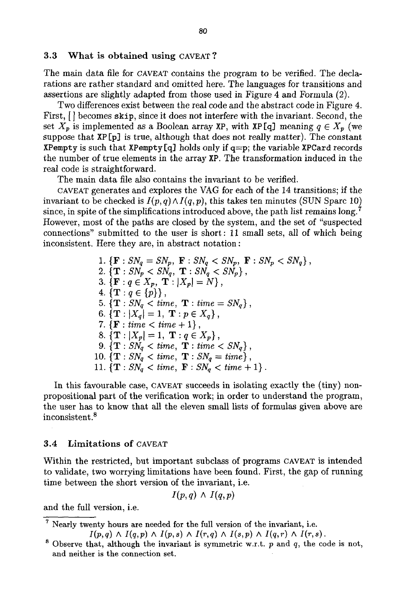#### 3.3 What is obtained using CAVEAT ?

The main data file for CAVEAT contains the program to be verified. The declarations are rather standard and omitted here. The languages for transitions and assertions are slightly adapted from those used in Figure 4 and Formula (2).

Two differences exist between the real code and the abstract code in Figure 4. First,  $\vert \vert$  becomes skip, since it does not interfere with the invariant. Second, the set  $X_p$  is implemented as a Boolean array XP, with XP [q] meaning  $q \in X_p$  (we suppose that XP [p] is true, although that does not really matter). The constant XPempty is such that XPempty [q] holds only if  $q=p$ ; the variable XPCard records the number of true elements in the array XP. The transformation induced in the real code is straightforward.

The main data file also contains the invariant to be verified.

CAVEAT generates and explores the VAG for each of the 14 transitions; if the invariant to be checked is  $I(p,q) \wedge I(q,p)$ , this takes ten minutes (SUN Sparc 10) since, in spite of the simplifications introduced above, the path list remains  $\log$ . However, most of the paths are closed by the system, and the set of "suspected connections" submitted to the user is short: 11 small sets, all of which being inconsistent. Here they are, in abstract notation:

1. {**F** : 
$$
SN_q = SN_p
$$
, **F** :  $SN_q < SN_p$ , **F** :  $SN_p < SN_p$  }  
\n2. {**T** :  $SN_p < SN_q$ , **T** :  $SN_q < SN_p$  },  
\n3. {**F** :  $q \in X_p$ , **T** :  $|X_p| = N$  },  
\n4. {**T** :  $q \in \{p\}$  },  
\n5. {**T** :  $SN_q < time$ , **T** :  $time = SN_q$  },  
\n6. {**T** :  $|X_q| = 1$ , **T** :  $p \in X_q$  },  
\n7. {**F** :  $time < time + 1$  },  
\n8. {**T** :  $|X_p| = 1$ , **T** :  $q \in X_p$  },  
\n9. {**T** :  $SN_q < time$ , **T** :  $time < SN_q$  },  
\n10. {**T** :  $SN_q < time$ , **T** :  $SN_q = time$  },  
\n11. {**T** :  $SN_q < time$ , **F** :  $SN_q < time + 1$  }.

In this favourable case, CAVEAT succeeds in isolating exactly the (tiny) nonpropositional part of the verification work; in order to understand the program, the user has to know that all the eleven small lists of formulas given above are inconsistent.<sup>8</sup>

#### 3.4 Limitations of CAVEAT

Within the restricted, but important subclass of programs CAVEAT is intended to validate, two worrying limitations have been found. First, the gap of running time between the short version of the invariant, i.e.

$$
I(p,q)\wedge I(q,p)
$$

and the full version, i.e.

7 Nearly twenty hours are needed for the full version of the invariant, i.e.

- $I(p,q) \wedge I(q,p) \wedge I(p,s) \wedge I(r,q) \wedge I(s,p) \wedge I(q,r) \wedge I(r,s)$ .
- $s$  Observe that, although the invariant is symmetric w.r.t.  $p$  and  $q$ , the code is not, and neither is the connection set.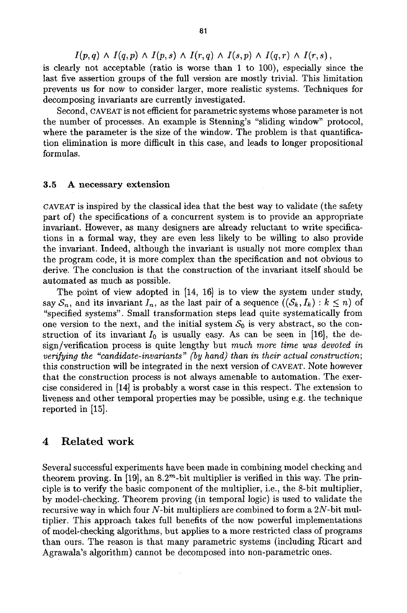$I(p,q) \wedge I(q,p) \wedge I(p,s) \wedge I(r,q) \wedge I(s,p) \wedge I(q,r) \wedge I(r,s)$ , is clearly not acceptable (ratio is worse than 1 to 100), especially since the last five assertion groups of the full version are mostly trivial. This limitation prevents us for now to consider larger, more realistic systems. Techniques for decomposing invariants are currently investigated.

Second, CAVEAT is not efficient for parametric systems whose parameter is not the number of processes. An example is Stenning's "sliding window" protocol, where the parameter is the size of the window. The problem is that quantification elimination is more difficult in this case, and leads to longer propositional formulas.

### 3.5 A necessary extension

CAVEAT is inspired by the classical idea that the best way to validate (the safety part of) the specifications of a concurrent system is to provide an appropriate invariant. However, as many designers are already reluctant to write specifications in a formal way, they are even less likely to be willing to also provide the invariant. Indeed, although the invariant is usually not more complex than the program code, it is more complex than the specification and not obvious to derive. The conclusion is that the construction of the invariant itself should be automated as much as possible.

The point of view adopted in [14, 16] is to view the system under study, say  $S_n$ , and its invariant  $I_n$ , as the last pair of a sequence  $((S_k, I_k) : k \leq n)$  of "specified systems". Small transformation steps lead quite systematically from one version to the next, and the initial system  $S_0$  is very abstract, so the construction of its invariant  $I_0$  is usually easy. As can be seen in [16], the design/verification process is quite lengthy but *much more time was devoted in verifying the "candidate-invariants" (by hand) than in their actual construction;* this construction will be integrated in the next version of CAVEAT. Note however that the construction process is not always amenable to automation. The exercise considered in [14] is probably a worst case in this respect. The extension to liveness and other temporal properties may be possible, using e.g. the technique reported in [15].

### 4 Related work

Several successful experiments have been made in combining model checking and theorem proving. In  $[19]$ , an 8.2<sup>m</sup>-bit multiplier is verified in this way. The principle is to verify the basic component of the multiplier, i.e., the 8-bit multiplier, by model-checking. Theorem proving (in temporal logic) is used to validate the recursive way in which four  $N$ -bit multipliers are combined to form a  $2N$ -bit multiplier. This approach takes full benefits of the now powerful implementations of model-checking algorithms, but applies to a more restricted class of programs than ours. The reason is that many parametric systems (including Ricart and Agrawala's algorithm) cannot be decomposed into non-parametric ones.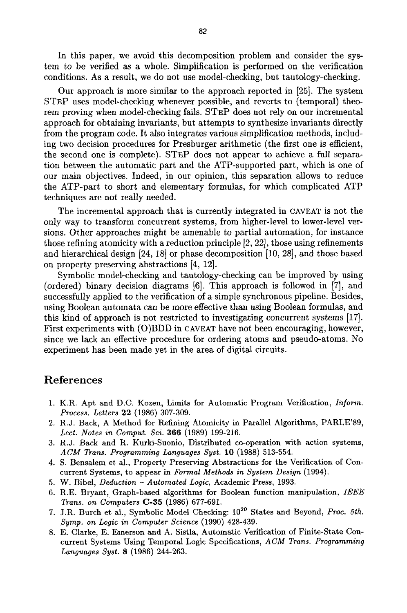In this paper, we avoid this decomposition problem and consider the system to be verified as a whole. Simplification is performed on the verification conditions. As a result, we do not use model-checking, but tautology-checking.

Our approach is more similar to the approach reported in [25]. The system STEP uses model-checking whenever possible, and reverts to (temporal) theorem proving when model-checking fails. STEP does not rely on our incremental approach for obtaining invariants, but attempts to synthesize invariants directly from the program code. It also integrates various simplification methods, including two decision procedures for Presburger arithmetic (the first one is efficient, the second one is complete). STEP does not appear to achieve a full separation between the automatic part and the ATP-supported part, which is one of our main objectives. Indeed, in our opinion, this separation allows to reduce the ATP-part to short and elementary formulas, for which complicated ATP techniques are not really needed.

The incremental approach that is currently integrated in CAVEAT is not the only way to transform concurrent systems, from higher-level to lower-level versions. Other approaches might be amenable to partial automation, for instance those refining atomicity with a reduction principle [2, 22], those using refinements and hierarchical design [24, 18] or phase decomposition [10, 28], and those based on property preserving abstractions [4, 12].

Symbolic model-checking and tautology-checking can be improved by using (ordered) binary decision diagrams [6]. This approach is followed in [7], and successfully applied to the verification of a simple synchronous pipeline. Besides, using Boolean automata can be more effective than using Boolean formulas, and this kind of approach is not restricted to investigating concurrent systems [17]. First experiments with (O)BDD in CAVEAT have not been encouraging, however, since we lack an effective procedure for ordering atoms and pseudo-atoms. No experiment has been made yet in the area of digital circuits.

# **References**

- 1. K.R. Apt and D.C. Kozen, Limits for Automatic Program Verification, *Inform. Process. Letters* 22 (1986) 307-309.
- 2. R.J. Back, A Method for Refining Atomicity in Parallel Algorithms, PARLE'89, *Lect. Notes in Comput. Sci.* 366 (1989) 199-216.
- 3. R.J. Back and R. Kurki-Suonio, Distributed co-operation with action systems, *ACM Trans. Programming Languages Syst.* 10 (1988) 513-554.
- 4. S. Bensalem et al., Property Preserving Abstractions for the Verification of Concurrent Systems, to appear in *Formal Methods in System Design* (1994).
- 5. W. Bibel, *Deduction Automated Logic,* Academic Press, 1993.
- 6. R.E. Bryant, Graph-based algorithms for Boolean function manipulation, *IEEE Trans. on Computers* C-35 (1986) 677-691.
- 7. J.R. Burch et al., Symbolic Model Checking:  $10^{20}$  States and Beyond, *Proc. 5th. Symp. on Logic in Computer Science* (1990) 428-439.
- 8. E. Clarke, E. Emerson and A. Sistla, Automatic Verification of Finite-State Concurrent Systems Using Temporal Logic Specifications, *ACM Trans. Programming Languages Syst.* 8 (1986) 244-263.